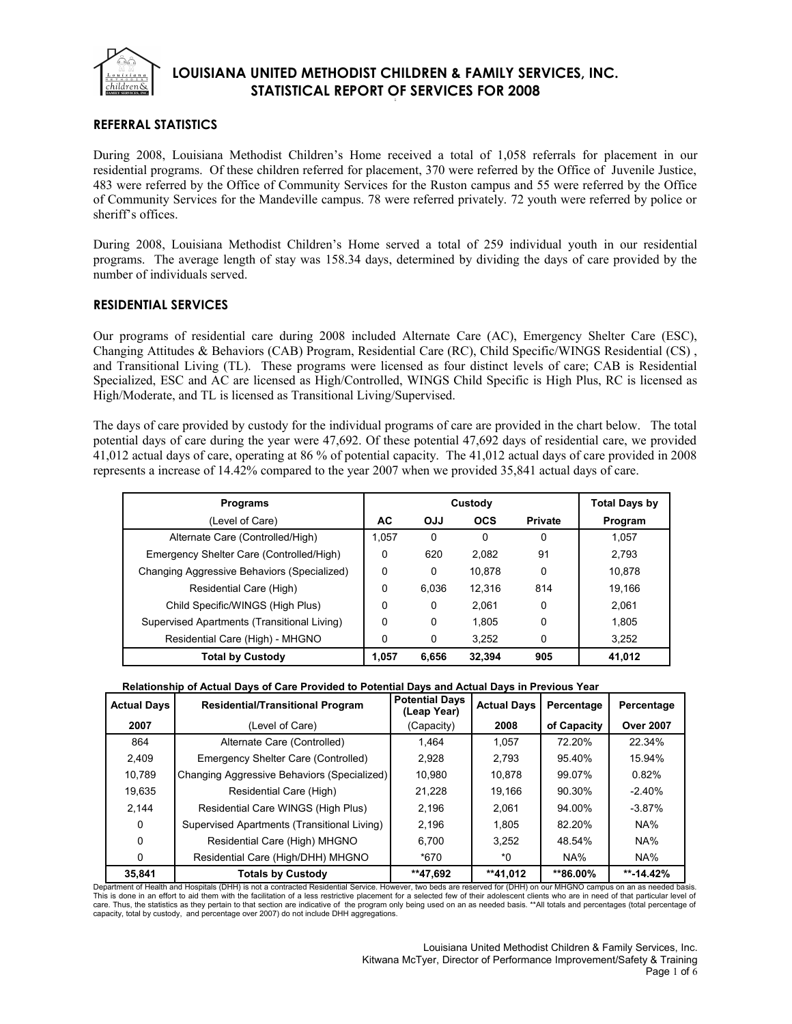

## **REFERRAL STATISTICS**

During 2008, Louisiana Methodist Children's Home received a total of 1,058 referrals for placement in our residential programs. Of these children referred for placement, 370 were referred by the Office of Juvenile Justice, 483 were referred by the Office of Community Services for the Ruston campus and 55 were referred by the Office of Community Services for the Mandeville campus. 78 were referred privately. 72 youth were referred by police or sheriff's offices.

During 2008, Louisiana Methodist Children's Home served a total of 259 individual youth in our residential programs. The average length of stay was 158.34 days, determined by dividing the days of care provided by the number of individuals served.

### **RESIDENTIAL SERVICES**

Our programs of residential care during 2008 included Alternate Care (AC), Emergency Shelter Care (ESC), Changing Attitudes & Behaviors (CAB) Program, Residential Care (RC), Child Specific/WINGS Residential (CS) , and Transitional Living (TL). These programs were licensed as four distinct levels of care; CAB is Residential Specialized, ESC and AC are licensed as High/Controlled, WINGS Child Specific is High Plus, RC is licensed as High/Moderate, and TL is licensed as Transitional Living/Supervised.

The days of care provided by custody for the individual programs of care are provided in the chart below. The total potential days of care during the year were 47,692. Of these potential 47,692 days of residential care, we provided 41,012 actual days of care, operating at 86 % of potential capacity. The 41,012 actual days of care provided in 2008 represents a increase of 14.42% compared to the year 2007 when we provided 35,841 actual days of care.

| <b>Programs</b>                             |       | Custody    |            | Total Days by  |         |
|---------------------------------------------|-------|------------|------------|----------------|---------|
| (Level of Care)                             | AC    | <b>OJJ</b> | <b>OCS</b> | <b>Private</b> | Program |
| Alternate Care (Controlled/High)            | 1.057 | 0          | 0          | 0              | 1.057   |
| Emergency Shelter Care (Controlled/High)    | 0     | 620        | 2.082      | 91             | 2,793   |
| Changing Aggressive Behaviors (Specialized) | 0     | 0          | 10.878     | 0              | 10.878  |
| Residential Care (High)                     | 0     | 6.036      | 12.316     | 814            | 19.166  |
| Child Specific/WINGS (High Plus)            | 0     | 0          | 2.061      | 0              | 2.061   |
| Supervised Apartments (Transitional Living) | 0     | 0          | 1.805      | 0              | 1.805   |
| Residential Care (High) - MHGNO             | 0     | 0          | 3.252      | 0              | 3,252   |
| <b>Total by Custody</b>                     | 1.057 | 6.656      | 32.394     | 905            | 41,012  |

| Relationship of Actual Days of Care Provided to Potential Days and Actual Days in Previous Year |
|-------------------------------------------------------------------------------------------------|
|-------------------------------------------------------------------------------------------------|

| <b>Actual Days</b> | <b>Residential/Transitional Program</b>     | <b>Potential Days</b><br>(Leap Year) | <b>Actual Days</b> | Percentage  | Percentage       |
|--------------------|---------------------------------------------|--------------------------------------|--------------------|-------------|------------------|
| 2007               | (Level of Care)                             | (Capacity)                           | 2008               | of Capacity | <b>Over 2007</b> |
| 864                | Alternate Care (Controlled)                 | 1.464                                | 1.057              | 72.20%      | 22.34%           |
| 2,409              | Emergency Shelter Care (Controlled)         | 2,928                                | 2,793              | 95.40%      | 15.94%           |
| 10,789             | Changing Aggressive Behaviors (Specialized) | 10.980                               | 10,878             | 99.07%      | 0.82%            |
| 19,635             | Residential Care (High)                     | 21.228                               | 19,166             | 90.30%      | $-2.40%$         |
| 2.144              | Residential Care WINGS (High Plus)          | 2,196                                | 2.061              | 94.00%      | $-3.87%$         |
| 0                  | Supervised Apartments (Transitional Living) | 2.196                                | 1.805              | 82.20%      | NA%              |
| 0                  | Residential Care (High) MHGNO               | 6,700                                | 3.252              | 48.54%      | NA%              |
| 0                  | Residential Care (High/DHH) MHGNO           | *670                                 | *0                 | NA%         | NA%              |
| 35.841             | <b>Totals by Custody</b>                    | **47.692                             | **41,012           | **86.00%    | $** - 14.42%$    |

Department of Health and Hospitals (DHH) is not a contracted Residential Service. However, two beds are reserved for (DHH) on our MHGNO campus on an as needed basis. This is done in an effort to aid them with the facilitation of a less restrictive placement for a selected few of their adolescent clients who are in need of that particular level of<br>care. Thus, the statistics as they pert capacity, total by custody, and percentage over 2007) do not include DHH aggregations.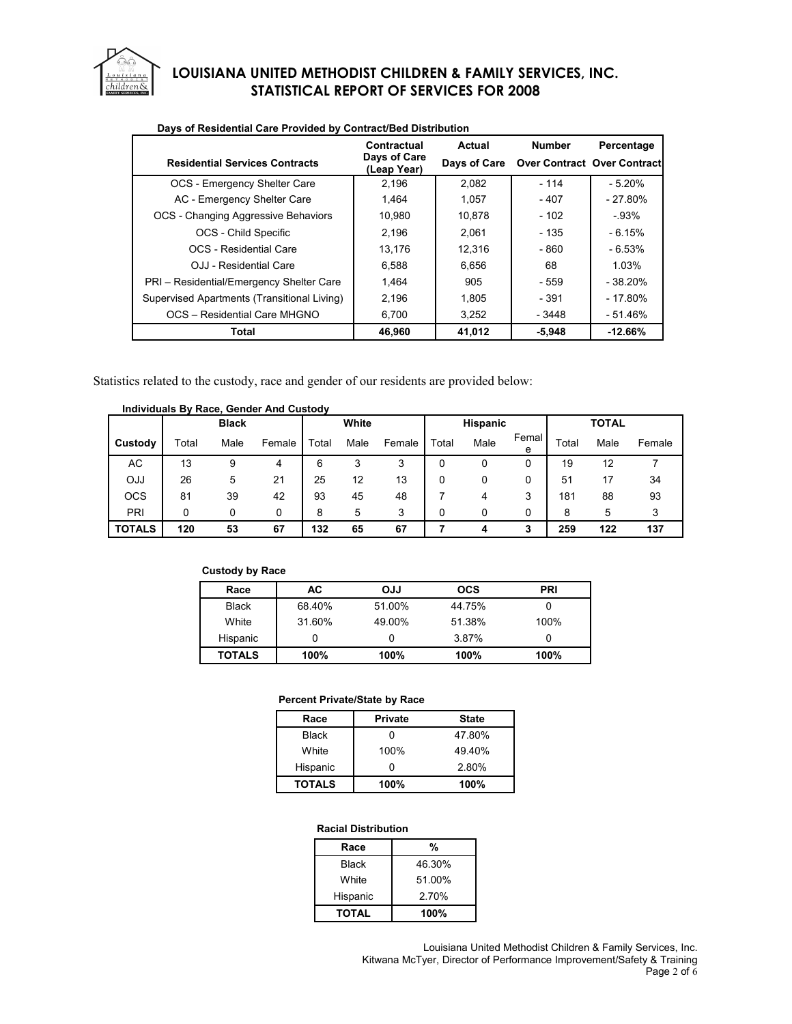

| Days of Residential Care Provided by Contract/Bed Distribution |                             |              |                                    |            |  |  |  |  |  |
|----------------------------------------------------------------|-----------------------------|--------------|------------------------------------|------------|--|--|--|--|--|
|                                                                | Contractual                 | Actual       | <b>Number</b>                      | Percentage |  |  |  |  |  |
| <b>Residential Services Contracts</b>                          | Days of Care<br>(Leap Year) | Days of Care | <b>Over Contract Over Contract</b> |            |  |  |  |  |  |
| OCS - Emergency Shelter Care                                   | 2.196                       | 2.082        | $-114$                             | $-5.20%$   |  |  |  |  |  |
| AC - Emergency Shelter Care                                    | 1.464                       | 1.057        | - 407                              | - 27.80%   |  |  |  |  |  |
| OCS - Changing Aggressive Behaviors                            | 10.980                      | 10.878       | - 102                              | - 93%      |  |  |  |  |  |
| OCS - Child Specific                                           | 2.196                       | 2.061        | - 135                              | $-6.15%$   |  |  |  |  |  |
| OCS - Residential Care                                         | 13.176                      | 12.316       | - 860                              | $-6.53%$   |  |  |  |  |  |
| OJJ - Residential Care                                         | 6.588                       | 6.656        | 68                                 | 1.03%      |  |  |  |  |  |
| PRI - Residential/Emergency Shelter Care                       | 1.464                       | 905          | - 559                              | $-38.20%$  |  |  |  |  |  |
| Supervised Apartments (Transitional Living)                    | 2.196                       | 1,805        | - 391                              | $-17.80%$  |  |  |  |  |  |
| OCS - Residential Care MHGNO                                   | 6.700                       | 3,252        | - 3448                             | $-51.46%$  |  |  |  |  |  |
| Total                                                          | 46.960                      | 41,012       | $-5.948$                           | $-12.66\%$ |  |  |  |  |  |

Statistics related to the custody, race and gender of our residents are provided below:

|               |       | <b>Black</b> |        |       | White |        |       | <b>Hispanic</b> |            |       | <b>TOTAL</b> |        |
|---------------|-------|--------------|--------|-------|-------|--------|-------|-----------------|------------|-------|--------------|--------|
| Custody       | Total | Male         | Female | Total | Male  | Female | Total | Male            | Femal<br>e | Total | Male         | Female |
| AC            | 13    | 9            | 4      | 6     | 3     | 3      | 0     |                 |            | 19    | 12           |        |
| <b>OJJ</b>    | 26    | 5            | 21     | 25    | 12    | 13     | 0     |                 |            | 51    | 17           | 34     |
| <b>OCS</b>    | 81    | 39           | 42     | 93    | 45    | 48     |       | 4               | 3          | 181   | 88           | 93     |
| PRI           | 0     | 0            | 0      | 8     | 5     | 3      | 0     | 0               | 0          | 8     | 5            |        |
| <b>TOTALS</b> | 120   | 53           | 67     | 132   | 65    | 67     |       | 4               | 3          | 259   | 122          | 137    |

# **Individuals By Race, Gender And Custody**

#### **Custody by Race**

| Race          | АC     | <b>OJJ</b> | <b>OCS</b> | <b>PRI</b> |
|---------------|--------|------------|------------|------------|
| <b>Black</b>  | 68.40% | 51.00%     | 44.75%     |            |
| White         | 31.60% | 49.00%     | 51.38%     | 100%       |
| Hispanic      |        | 0          | 3.87%      | 0          |
| <b>TOTALS</b> | 100%   | 100%       | 100%       | 100%       |

#### **Percent Private/State by Race**

| Race          | <b>Private</b> | <b>State</b> |
|---------------|----------------|--------------|
| <b>Black</b>  |                | 47.80%       |
| White         | 100%           | 49.40%       |
| Hispanic      | ŋ              | 2.80%        |
| <b>TOTALS</b> | 100%           | 100%         |

#### **Racial Distribution**

| Race         | %      |
|--------------|--------|
| <b>Black</b> | 46.30% |
| White        | 51.00% |
| Hispanic     | 2.70%  |
| <b>TOTAL</b> | 100%   |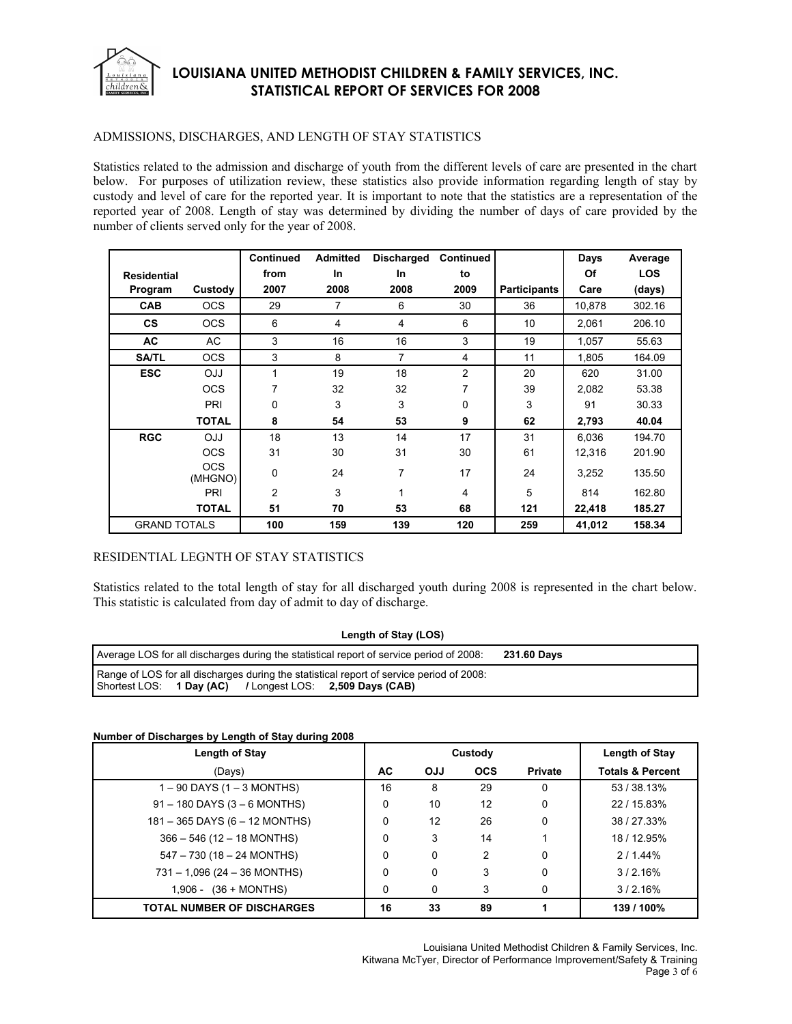

### ADMISSIONS, DISCHARGES, AND LENGTH OF STAY STATISTICS

Statistics related to the admission and discharge of youth from the different levels of care are presented in the chart below. For purposes of utilization review, these statistics also provide information regarding length of stay by custody and level of care for the reported year. It is important to note that the statistics are a representation of the reported year of 2008. Length of stay was determined by dividing the number of days of care provided by the number of clients served only for the year of 2008.

|                     |                       | <b>Continued</b> | <b>Admitted</b> | <b>Discharged</b> | Continued      |                     | Days   | Average    |
|---------------------|-----------------------|------------------|-----------------|-------------------|----------------|---------------------|--------|------------|
| <b>Residential</b>  |                       | from             | <b>In</b>       | In                | to             |                     | Of     | <b>LOS</b> |
| Program             | Custody               | 2007             | 2008            | 2008              | 2009           | <b>Participants</b> | Care   | (days)     |
| <b>CAB</b>          | <b>OCS</b>            | 29               | 7               | 6                 | 30             | 36                  | 10,878 | 302.16     |
| <b>CS</b>           | <b>OCS</b>            | 6                | 4               | 4                 | 6              | 10                  | 2,061  | 206.10     |
| <b>AC</b>           | AC.                   | 3                | 16              | 16                | 3              | 19                  | 1,057  | 55.63      |
| <b>SA/TL</b>        | <b>OCS</b>            | 3                | 8               | 7                 | 4              | 11                  | 1,805  | 164.09     |
| <b>ESC</b>          | <b>OJJ</b>            | $\mathbf{1}$     | 19              | 18                | $\overline{2}$ | 20                  | 620    | 31.00      |
|                     | <b>OCS</b>            | 7                | 32              | 32                | 7              | 39                  | 2,082  | 53.38      |
|                     | PRI                   | 0                | 3               | 3                 | 0              | 3                   | 91     | 30.33      |
|                     | <b>TOTAL</b>          | 8                | 54              | 53                | 9              | 62                  | 2,793  | 40.04      |
| <b>RGC</b>          | <b>OJJ</b>            | 18               | 13              | 14                | 17             | 31                  | 6.036  | 194.70     |
|                     | <b>OCS</b>            | 31               | 30              | 31                | 30             | 61                  | 12,316 | 201.90     |
|                     | <b>OCS</b><br>(MHGNO) | 0                | 24              | 7                 | 17             | 24                  | 3,252  | 135.50     |
|                     | PRI                   | $\overline{2}$   | 3               | 1                 | 4              | 5                   | 814    | 162.80     |
|                     | <b>TOTAL</b>          | 51               | 70              | 53                | 68             | 121                 | 22,418 | 185.27     |
| <b>GRAND TOTALS</b> |                       | 100              | 159             | 139               | 120            | 259                 | 41,012 | 158.34     |

### RESIDENTIAL LEGNTH OF STAY STATISTICS

Statistics related to the total length of stay for all discharged youth during 2008 is represented in the chart below. This statistic is calculated from day of admit to day of discharge.

| Length of Stay (LOS) |  |
|----------------------|--|
|----------------------|--|

| Average LOS for all discharges during the statistical report of service period of 2008:                                                              | 231.60 Days |
|------------------------------------------------------------------------------------------------------------------------------------------------------|-------------|
| Range of LOS for all discharges during the statistical report of service period of 2008:<br>Shortest LOS: 1 Day (AC) / Longest LOS: 2,509 Days (CAB) |             |

#### **Number of Discharges by Length of Stay during 2008**

| Length of Stay                    |    | Custody    | Length of Stay |                |                             |
|-----------------------------------|----|------------|----------------|----------------|-----------------------------|
| (Days)                            | AC | <b>OJJ</b> | <b>OCS</b>     | <b>Private</b> | <b>Totals &amp; Percent</b> |
| $1 - 90$ DAYS (1 $-$ 3 MONTHS)    | 16 | 8          | 29             | $\Omega$       | 53 / 38.13%                 |
| $91 - 180$ DAYS (3 – 6 MONTHS)    | 0  | 10         | 12             | 0              | 22 / 15.83%                 |
| 181 - 365 DAYS (6 - 12 MONTHS)    | 0  | 12         | 26             | 0              | 38 / 27.33%                 |
| $366 - 546$ (12 - 18 MONTHS)      | 0  | 3          | 14             |                | 18 / 12.95%                 |
| $547 - 730$ (18 - 24 MONTHS)      | 0  | 0          | 2              | 0              | 2/1.44%                     |
| $731 - 1,096$ (24 - 36 MONTHS)    | 0  | 0          | 3              | 0              | 3/2.16%                     |
| $(36 + MOMTHS)$<br>1.906 -        | 0  | 0          | 3              | 0              | 3/2.16%                     |
| <b>TOTAL NUMBER OF DISCHARGES</b> | 16 | 33         | 89             |                | 139 / 100%                  |

Louisiana United Methodist Children & Family Services, Inc. Kitwana McTyer, Director of Performance Improvement/Safety & Training Page 3 of 6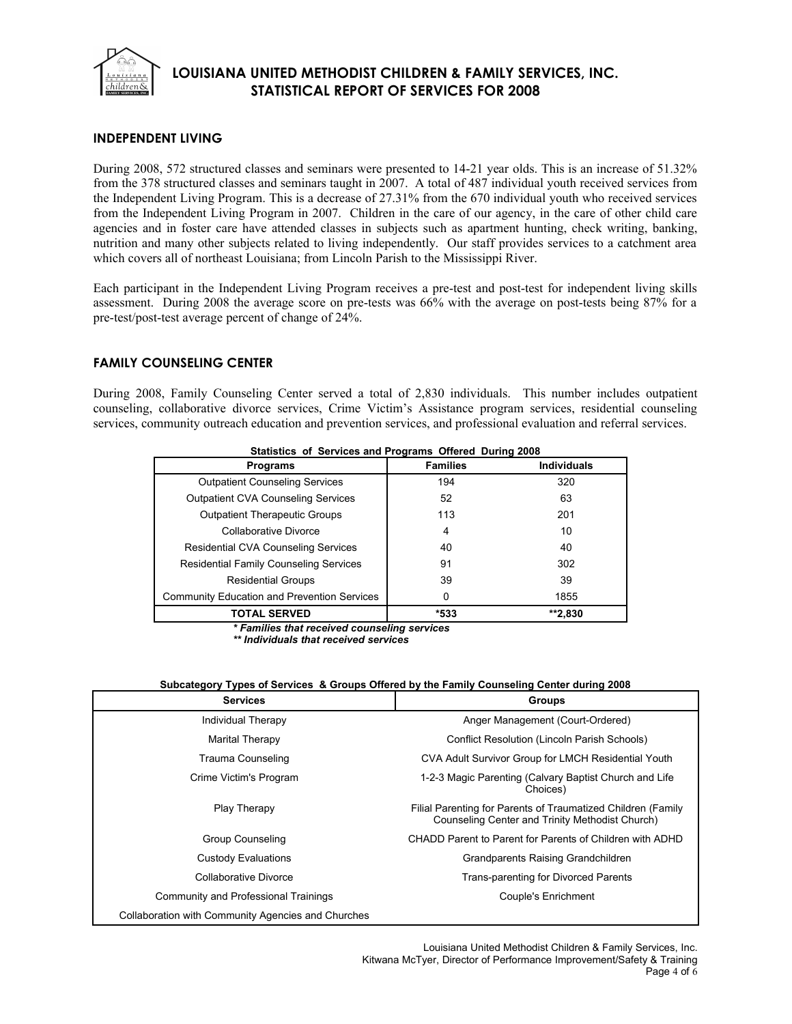

## **INDEPENDENT LIVING**

During 2008, 572 structured classes and seminars were presented to 14-21 year olds. This is an increase of 51.32% from the 378 structured classes and seminars taught in 2007. A total of 487 individual youth received services from the Independent Living Program. This is a decrease of 27.31% from the 670 individual youth who received services from the Independent Living Program in 2007. Children in the care of our agency, in the care of other child care agencies and in foster care have attended classes in subjects such as apartment hunting, check writing, banking, nutrition and many other subjects related to living independently. Our staff provides services to a catchment area which covers all of northeast Louisiana; from Lincoln Parish to the Mississippi River.

Each participant in the Independent Living Program receives a pre-test and post-test for independent living skills assessment. During 2008 the average score on pre-tests was 66% with the average on post-tests being 87% for a pre-test/post-test average percent of change of 24%.

## **FAMILY COUNSELING CENTER**

During 2008, Family Counseling Center served a total of 2,830 individuals. This number includes outpatient counseling, collaborative divorce services, Crime Victim's Assistance program services, residential counseling services, community outreach education and prevention services, and professional evaluation and referral services.

| Statistics of Services and Frograms Onered During 2000 |                 |                    |
|--------------------------------------------------------|-----------------|--------------------|
| <b>Programs</b>                                        | <b>Families</b> | <b>Individuals</b> |
| <b>Outpatient Counseling Services</b>                  | 194             | 320                |
| <b>Outpatient CVA Counseling Services</b>              | 52              | 63                 |
| <b>Outpatient Therapeutic Groups</b>                   | 113             | 201                |
| Collaborative Divorce                                  | 4               | 10                 |
| <b>Residential CVA Counseling Services</b>             | 40              | 40                 |
| <b>Residential Family Counseling Services</b>          | 91              | 302                |
| <b>Residential Groups</b>                              | 39              | 39                 |
| Community Education and Prevention Services            | 0               | 1855               |
| <b>TOTAL SERVED</b>                                    | *533            | **2.830            |

**Statistics of Services and Programs Offered During 2008**

*\* Families that received counseling services*

*\*\* Individuals that received services*

#### **Subcategory Types of Services & Groups Offered by the Family Counseling Center during 2008**

| <b>Services</b>                                    | <b>Groups</b>                                                                                                   |
|----------------------------------------------------|-----------------------------------------------------------------------------------------------------------------|
| Individual Therapy                                 | Anger Management (Court-Ordered)                                                                                |
| Marital Therapy                                    | Conflict Resolution (Lincoln Parish Schools)                                                                    |
| Trauma Counseling                                  | CVA Adult Survivor Group for LMCH Residential Youth                                                             |
| Crime Victim's Program                             | 1-2-3 Magic Parenting (Calvary Baptist Church and Life<br>Choices)                                              |
| Play Therapy                                       | Filial Parenting for Parents of Traumatized Children (Family<br>Counseling Center and Trinity Methodist Church) |
| <b>Group Counseling</b>                            | CHADD Parent to Parent for Parents of Children with ADHD                                                        |
| Custody Evaluations                                | Grandparents Raising Grandchildren                                                                              |
| Collaborative Divorce                              | Trans-parenting for Divorced Parents                                                                            |
| Community and Professional Trainings               | Couple's Enrichment                                                                                             |
| Collaboration with Community Agencies and Churches |                                                                                                                 |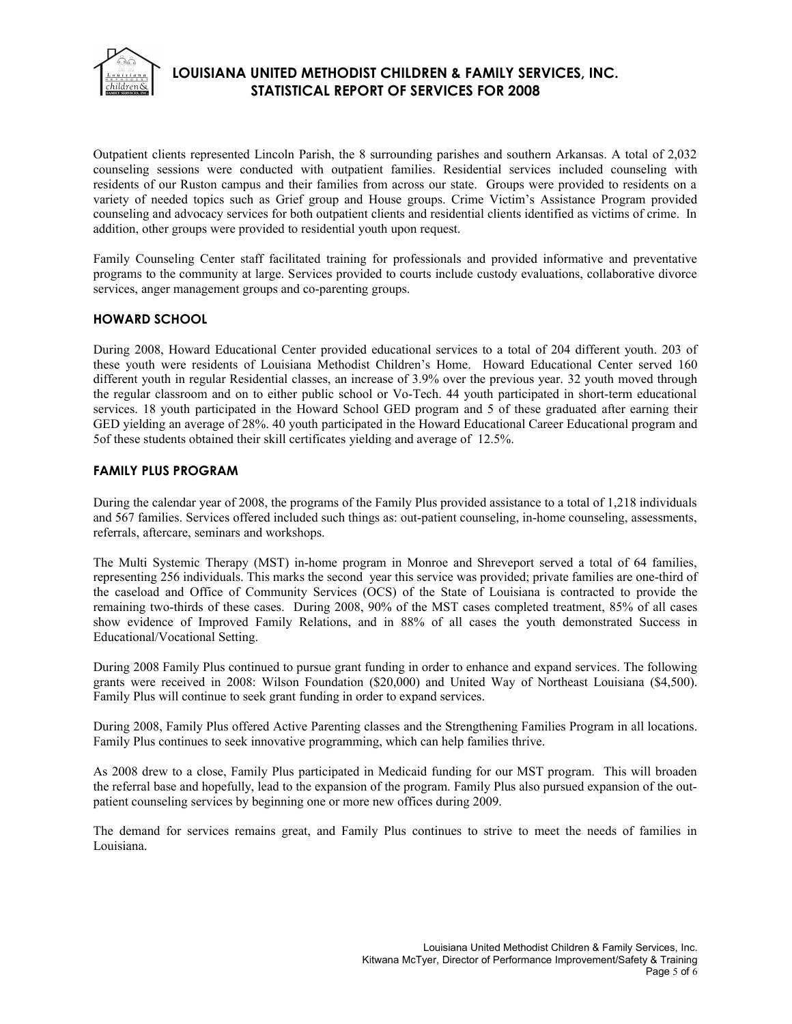

Outpatient clients represented Lincoln Parish, the 8 surrounding parishes and southern Arkansas. A total of 2,032 counseling sessions were conducted with outpatient families. Residential services included counseling with residents of our Ruston campus and their families from across our state. Groups were provided to residents on a variety of needed topics such as Grief group and House groups. Crime Victim's Assistance Program provided counseling and advocacy services for both outpatient clients and residential clients identified as victims of crime. In addition, other groups were provided to residential youth upon request.

Family Counseling Center staff facilitated training for professionals and provided informative and preventative programs to the community at large. Services provided to courts include custody evaluations, collaborative divorce services, anger management groups and co-parenting groups.

## **HOWARD SCHOOL**

During 2008, Howard Educational Center provided educational services to a total of 204 different youth. 203 of these youth were residents of Louisiana Methodist Children's Home. Howard Educational Center served 160 different youth in regular Residential classes, an increase of 3.9% over the previous year. 32 youth moved through the regular classroom and on to either public school or Vo-Tech. 44 youth participated in short-term educational services. 18 youth participated in the Howard School GED program and 5 of these graduated after earning their GED yielding an average of 28%. 40 youth participated in the Howard Educational Career Educational program and 5of these students obtained their skill certificates yielding and average of 12.5%.

### **FAMILY PLUS PROGRAM**

During the calendar year of 2008, the programs of the Family Plus provided assistance to a total of 1,218 individuals and 567 families. Services offered included such things as: out-patient counseling, in-home counseling, assessments, referrals, aftercare, seminars and workshops.

The Multi Systemic Therapy (MST) in-home program in Monroe and Shreveport served a total of 64 families, representing 256 individuals. This marks the second year this service was provided; private families are one-third of the caseload and Office of Community Services (OCS) of the State of Louisiana is contracted to provide the remaining two-thirds of these cases. During 2008, 90% of the MST cases completed treatment, 85% of all cases show evidence of Improved Family Relations, and in 88% of all cases the youth demonstrated Success in Educational/Vocational Setting.

During 2008 Family Plus continued to pursue grant funding in order to enhance and expand services. The following grants were received in 2008: Wilson Foundation (\$20,000) and United Way of Northeast Louisiana (\$4,500). Family Plus will continue to seek grant funding in order to expand services.

During 2008, Family Plus offered Active Parenting classes and the Strengthening Families Program in all locations. Family Plus continues to seek innovative programming, which can help families thrive.

As 2008 drew to a close, Family Plus participated in Medicaid funding for our MST program. This will broaden the referral base and hopefully, lead to the expansion of the program. Family Plus also pursued expansion of the outpatient counseling services by beginning one or more new offices during 2009.

The demand for services remains great, and Family Plus continues to strive to meet the needs of families in Louisiana.